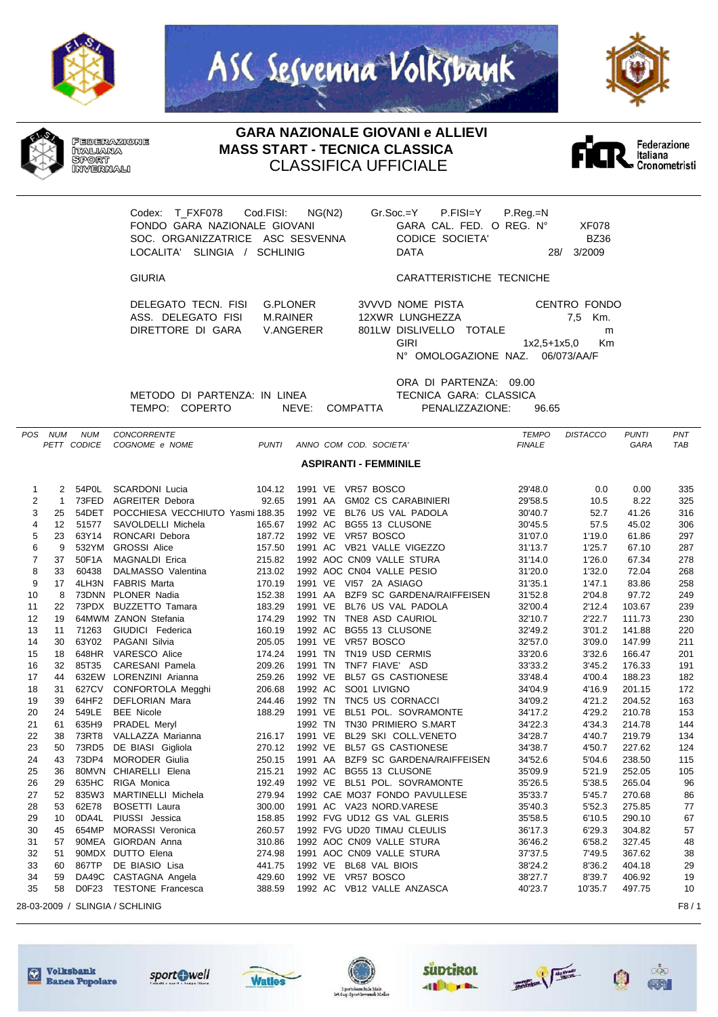







## **GARA NAZIONALE GIOVANI e ALLIEVI MASS START - TECNICA CLASSICA** CLASSIFICA UFFICIALE



Codex: T\_FXF078 Cod.FISI: NG(N2) Gr.Soc.=Y P.FISI=Y P.Reg.=N FONDO GARA NAZIONALE GIOVANI GARA CAL. FED. O REG. N° XF078 SOC. ORGANIZZATRICE ASC SESVENNA CODICE SOCIETA' BZ36 LOCALITA' SLINGIA / SCHLINIG

GIURIA CARATTERISTICHE TECNICHE

DELEGATO TECN. FISI G.PLONER ASS. DELEGATO FISI M.RAINER DIRETTORE DI GARA V.ANGERER

| <b>3VVVD NOME PISTA</b>          | CENTRO FONDO     |         |
|----------------------------------|------------------|---------|
| 12XWR LUNGHEZZA                  |                  | 7.5 Km. |
| 801LW DISLIVELLO TOTALE          |                  | m       |
| GIRI                             | $1x2.5+1x5.0$ Km |         |
| N° OMOLOGAZIONE NAZ. 06/073/AA/F |                  |         |

METODO DI PARTENZA: IN LINEA TECNICA GARA: CLASSICA

ORA DI PARTENZA: 09.00 TEMPO: COPERTO NEVE: COMPATTA PENALIZZAZIONE: 96.65

| POS            | <b>NUM</b>        | <b>NUM</b>  | <b>CONCORRENTE</b>               |              |                                              | <b>TEMPO</b>  | <b>DISTACCO</b> | PUNTI       | PNT        |
|----------------|-------------------|-------------|----------------------------------|--------------|----------------------------------------------|---------------|-----------------|-------------|------------|
|                |                   | PETT CODICE | COGNOME e NOME                   | <b>PUNTI</b> | ANNO COM COD. SOCIETA'                       | <b>FINALE</b> |                 | <b>GARA</b> | <b>TAB</b> |
|                |                   |             |                                  |              | <b>ASPIRANTI - FEMMINILE</b>                 |               |                 |             |            |
|                |                   |             |                                  |              |                                              |               |                 |             |            |
| 1              | 2                 | 54P0L       | <b>SCARDONI Lucia</b>            | 104.12       | 1991 VE VR57 BOSCO                           | 29'48.0       | 0.0             | 0.00        | 335        |
| $\overline{2}$ | $\mathbf{1}$      | 73FED       | <b>AGREITER Debora</b>           | 92.65        | 1991 AA<br><b>GM02 CS CARABINIERI</b>        | 29'58.5       | 10.5            | 8.22        | 325        |
| 3              | 25                | 54DET       | POCCHIESA VECCHIUTO Yasmi 188.35 |              | 1992 VE<br>BL76 US VAL PADOLA                | 30'40.7       | 52.7            | 41.26       | 316        |
| 4              | $12 \overline{ }$ | 51577       | SAVOLDELLI Michela               | 165.67       | 1992 AC<br>BG55 13 CLUSONE                   | 30'45.5       | 57.5            | 45.02       | 306        |
| 5              | 23                | 63Y14       | RONCARI Debora                   | 187.72       | 1992 VE<br>VR57 BOSCO                        | 31'07.0       | 1'19.0          | 61.86       | 297        |
| 6              | 9                 | 532YM       | <b>GROSSI Alice</b>              | 157.50       | 1991 AC VB21 VALLE VIGEZZO                   | 31'13.7       | 1'25.7          | 67.10       | 287        |
| $\overline{7}$ | 37                | 50F1A       | <b>MAGNALDI Erica</b>            | 215.82       | 1992 AOC CN09 VALLE STURA                    | 31'14.0       | 1'26.0          | 67.34       | 278        |
| 8              | 33                | 60438       | DALMASSO Valentina               | 213.02       | 1992 AOC CN04 VALLE PESIO                    | 31'20.0       | 1'32.0          | 72.04       | 268        |
| 9              | 17                |             | 4LH3N FABRIS Marta               | 170.19       | 1991 VE VI57 2A ASIAGO                       | 31'35.1       | 1'47.1          | 83.86       | 258        |
| 10             | 8                 |             | 73DNN PLONER Nadia               | 152.38       | <b>BZF9 SC GARDENA/RAIFFEISEN</b><br>1991 AA | 31'52.8       | 2'04.8          | 97.72       | 249        |
| 11             | 22                |             | 73PDX BUZZETTO Tamara            | 183.29       | 1991 VE<br>BL76 US VAL PADOLA                | 32'00.4       | 2'12.4          | 103.67      | 239        |
| 12             | 19                |             | 64MWM ZANON Stefania             | 174.29       | 1992 TN<br>TNE8 ASD CAURIOL                  | 32'10.7       | 2'22.7          | 111.73      | 230        |
| 13             | 11                | 71263       | GIUDICI Federica                 | 160.19       | 1992 AC<br>BG55 13 CLUSONE                   | 32'49.2       | 3'01.2          | 141.88      | 220        |
| 14             | 30                | 63Y02       | PAGANI Silvia                    | 205.05       | 1991 VE<br>VR57 BOSCO                        | 32'57.0       | 3'09.0          | 147.99      | 211        |
| 15             | 18                | 648HR       | <b>VARESCO Alice</b>             | 174.24       | 1991 TN<br>TN19 USD CERMIS                   | 33'20.6       | 3'32.6          | 166.47      | 201        |
| 16             | 32                | 85T35       | CARESANI Pamela                  | 209.26       | 1991 TN<br>TNF7 FIAVE' ASD                   | 33'33.2       | 3'45.2          | 176.33      | 191        |
| 17             | 44                |             | 632EW LORENZINI Arianna          | 259.26       | 1992 VE<br><b>BL57 GS CASTIONESE</b>         | 33'48.4       | 4'00.4          | 188.23      | 182        |
| 18             | 31                | 627CV       | CONFORTOLA Megghi                | 206.68       | 1992 AC<br>SO01 LIVIGNO                      | 34'04.9       | 4'16.9          | 201.15      | 172        |
| 19             | 39                | 64HF2       | <b>DEFLORIAN Mara</b>            | 244.46       | 1992 TN<br>TNC5 US CORNACCI                  | 34'09.2       | 4'21.2          | 204.52      | 163        |
| 20             | 24                | 549LE       | <b>BEE Nicole</b>                | 188.29       | 1991 VE<br>BL51 POL. SOVRAMONTE              | 34'17.2       | 4'29.2          | 210.78      | 153        |
| 21             | 61                | 635H9       | PRADEL Meryl                     |              | 1992 TN<br>TN30 PRIMIERO S.MART              | 34'22.3       | 4'34.3          | 214.78      | 144        |
| 22             | 38                | 73RT8       | VALLAZZA Marianna                | 216.17       | 1991 VE<br>BL29 SKI COLL.VENETO              | 34'28.7       | 4'40.7          | 219.79      | 134        |
| 23             | 50                | 73RD5       | DE BIASI Gigliola                | 270.12       | 1992 VE BL57 GS CASTIONESE                   | 34'38.7       | 4'50.7          | 227.62      | 124        |
| 24             | 43                | 73DP4       | <b>MORODER Giulia</b>            | 250.15       | 1991 AA<br>BZF9 SC GARDENA/RAIFFEISEN        | 34'52.6       | 5'04.6          | 238.50      | 115        |
| 25             | 36                |             | 80MVN CHIARELLI Elena            | 215.21       | 1992 AC<br>BG55 13 CLUSONE                   | 35'09.9       | 5'21.9          | 252.05      | 105        |
| 26             | 29                | 635HC       | RIGA Monica                      | 192.49       | 1992 VE BL51 POL. SOVRAMONTE                 | 35'26.5       | 5'38.5          | 265.04      | 96         |
| 27             | 52                | 835W3       | MARTINELLI Michela               | 279.94       | 1992 CAE MO37 FONDO PAVULLESE                | 35'33.7       | 5'45.7          | 270.68      | 86         |
| 28             | 53                | 62E78       | <b>BOSETTI Laura</b>             | 300.00       | 1991 AC VA23 NORD.VARESE                     | 35'40.3       | 5'52.3          | 275.85      | 77         |
| 29             | 10 <sup>10</sup>  | 0DA4L       | PIUSSI Jessica                   | 158.85       | 1992 FVG UD12 GS VAL GLERIS                  | 35'58.5       | 6'10.5          | 290.10      | 67         |
| 30             | 45                | 654MP       | <b>MORASSI Veronica</b>          | 260.57       | 1992 FVG UD20 TIMAU CLEULIS                  | 36'17.3       | 6'29.3          | 304.82      | 57         |
| 31             | 57                |             | 90MEA GIORDAN Anna               | 310.86       | 1992 AOC CN09 VALLE STURA                    | 36'46.2       | 6'58.2          | 327.45      | 48         |
| 32             | 51                |             | 90MDX DUTTO Elena                | 274.98       | 1991 AOC CN09 VALLE STURA                    | 37'37.5       | 7'49.5          | 367.62      | 38         |
| 33             | 60                | 867TP       | DE BIASIO Lisa                   | 441.75       | 1992 VE BL68 VAL BIOIS                       | 38'24.2       | 8'36.2          | 404.18      | 29         |
| 34             | 59                |             | DA49C CASTAGNA Angela            | 429.60       | 1992 VE VR57 BOSCO                           | 38'27.7       | 8'39.7          | 406.92      | 19         |
| 35             | 58                | D0F23       | <b>TESTONE Francesca</b>         | 388.59       | 1992 AC VB12 VALLE ANZASCA                   | 40'23.7       | 10'35.7         | 497.75      | 10         |
|                |                   |             | 28-03-2009 / SLINGIA / SCHLINIG  |              |                                              |               |                 |             | F8/1       |















 $\circ\circ$